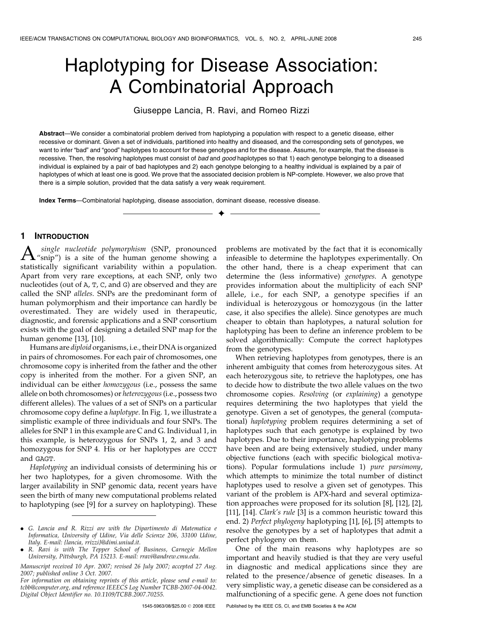# Haplotyping for Disease Association: A Combinatorial Approach

Giuseppe Lancia, R. Ravi, and Romeo Rizzi

Abstract—We consider a combinatorial problem derived from haplotyping a population with respect to a genetic disease, either recessive or dominant. Given a set of individuals, partitioned into healthy and diseased, and the corresponding sets of genotypes, we want to infer "bad" and "good" haplotypes to account for these genotypes and for the disease. Assume, for example, that the disease is recessive. Then, the resolving haplotypes must consist of bad and good haplotypes so that 1) each genotype belonging to a diseased individual is explained by a pair of bad haplotypes and 2) each genotype belonging to a healthy individual is explained by a pair of haplotypes of which at least one is good. We prove that the associated decision problem is NP-complete. However, we also prove that there is a simple solution, provided that the data satisfy a very weak requirement.

 $\ddotmark$ 

Index Terms—Combinatorial haplotyping, disease association, dominant disease, recessive disease.

### 1 INTRODUCTION

 $A$  single nucleotide polymorphism (SNP, pronounced<br>"snip") is a site of the human genome showing a<br>statistically similar manihility within a manufation statistically significant variability within a population. Apart from very rare exceptions, at each SNP, only two nucleotides (out of A, T, C, and G) are observed and they are called the SNP alleles. SNPs are the predominant form of human polymorphism and their importance can hardly be overestimated. They are widely used in therapeutic, diagnostic, and forensic applications and a SNP consortium exists with the goal of designing a detailed SNP map for the human genome [13], [10].

Humans are diploid organisms, i.e., their DNA is organized in pairs of chromosomes. For each pair of chromosomes, one chromosome copy is inherited from the father and the other copy is inherited from the mother. For a given SNP, an individual can be either homozygous (i.e., possess the same allele on both chromosomes) or heterozygous (i.e., possess two different alleles). The values of a set of SNPs on a particular chromosome copy define a haplotype. In Fig. 1, we illustrate a simplistic example of three individuals and four SNPs. The alleles for SNP 1 in this example are C and G. Individual 1, in this example, is heterozygous for SNPs 1, 2, and 3 and homozygous for SNP 4. His or her haplotypes are CCCT and GAGT.

Haplotyping an individual consists of determining his or her two haplotypes, for a given chromosome. With the larger availability in SNP genomic data, recent years have seen the birth of many new computational problems related to haplotyping (see [9] for a survey on haplotyping). These problems are motivated by the fact that it is economically infeasible to determine the haplotypes experimentally. On the other hand, there is a cheap experiment that can determine the (less informative) genotypes. A genotype provides information about the multiplicity of each SNP allele, i.e., for each SNP, a genotype specifies if an individual is heterozygous or homozygous (in the latter case, it also specifies the allele). Since genotypes are much cheaper to obtain than haplotypes, a natural solution for haplotyping has been to define an inference problem to be solved algorithmically: Compute the correct haplotypes from the genotypes.

When retrieving haplotypes from genotypes, there is an inherent ambiguity that comes from heterozygous sites. At each heterozygous site, to retrieve the haplotypes, one has to decide how to distribute the two allele values on the two chromosome copies. Resolving (or explaining) a genotype requires determining the two haplotypes that yield the genotype. Given a set of genotypes, the general (computational) haplotyping problem requires determining a set of haplotypes such that each genotype is explained by two haplotypes. Due to their importance, haplotyping problems have been and are being extensively studied, under many objective functions (each with specific biological motivations). Popular formulations include 1) pure parsimony, which attempts to minimize the total number of distinct haplotypes used to resolve a given set of genotypes. This variant of the problem is APX-hard and several optimization approaches were proposed for its solution [8], [12], [2], [11], [14]. Clark's rule [3] is a common heuristic toward this end. 2) Perfect phylogeny haplotyping [1], [6], [5] attempts to resolve the genotypes by a set of haplotypes that admit a perfect phylogeny on them.

One of the main reasons why haplotypes are so important and heavily studied is that they are very useful in diagnostic and medical applications since they are related to the presence/absence of genetic diseases. In a very simplistic way, a genetic disease can be considered as a malfunctioning of a specific gene. A gene does not function

<sup>.</sup> G. Lancia and R. Rizzi are with the Dipartimento di Matematica e Informatica, University of Udine, Via delle Scienze 206, 33100 Udine, Italy. E-mail: {lancia, rrizzi}@dimi.uniud.it.

<sup>.</sup> R. Ravi is with The Tepper School of Business, Carnegie Mellon University, Pittsburgh, PA 15213. E-mail: rravi@andrew.cmu.edu.

Manuscript received 10 Apr. 2007; revised 26 July 2007; accepted 27 Aug. 2007; published online 3 Oct. 2007.

For information on obtaining reprints of this article, please send e-mail to: tcbb@computer.org, and reference IEEECS Log Number TCBB-2007-04-0042. Digital Object Identifier no. 10.1109/TCBB.2007.70255.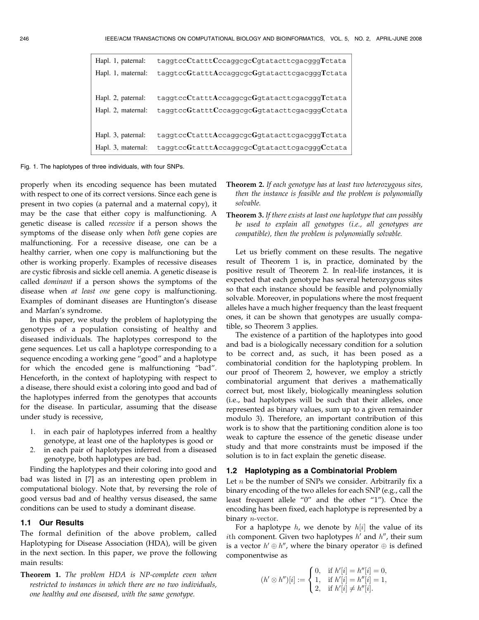| Hapl. 1, paternal: | $t$ aqq $tcc$ C $t$ attt $C$ ccaqqcqc $C$ q $t$ atacttcqacqqq $T$ ctata             |
|--------------------|-------------------------------------------------------------------------------------|
| Hapl. 1, maternal: | taggtccGtatttAccaggcgcGgtatacttcgacgggTctata                                        |
|                    |                                                                                     |
| Hapl. 2, paternal: | $t$ aqq $tcc$ C $t$ att $t$ Accaqq $c$ q $c$ Gq $t$ atact $t$ cqacqqq $T$ c $t$ ata |
| Hapl. 2, maternal: | taggtccGtatttCccaggcgcGgtatacttcgacgggCctata                                        |
|                    |                                                                                     |
| Hapl. 3, paternal: | $t$ aqq $tcc$ C $t$ att $t$ Accaqqcqc $G$ q $t$ atact $t$ cqacqqq $T$ c $t$ ata     |
| Hapl. 3, maternal: | $tagqqccGtatttAccaqqcqcCqtatacttcqacqqqCctata$                                      |

Fig. 1. The haplotypes of three individuals, with four SNPs.

properly when its encoding sequence has been mutated with respect to one of its correct versions. Since each gene is present in two copies (a paternal and a maternal copy), it may be the case that either copy is malfunctioning. A genetic disease is called recessive if a person shows the symptoms of the disease only when both gene copies are malfunctioning. For a recessive disease, one can be a healthy carrier, when one copy is malfunctioning but the other is working properly. Examples of recessive diseases are cystic fibrosis and sickle cell anemia. A genetic disease is called dominant if a person shows the symptoms of the disease when at least one gene copy is malfunctioning. Examples of dominant diseases are Huntington's disease and Marfan's syndrome.

In this paper, we study the problem of haplotyping the genotypes of a population consisting of healthy and diseased individuals. The haplotypes correspond to the gene sequences. Let us call a haplotype corresponding to a sequence encoding a working gene "good" and a haplotype for which the encoded gene is malfunctioning "bad". Henceforth, in the context of haplotyping with respect to a disease, there should exist a coloring into good and bad of the haplotypes inferred from the genotypes that accounts for the disease. In particular, assuming that the disease under study is recessive,

- 1. in each pair of haplotypes inferred from a healthy genotype, at least one of the haplotypes is good or
- 2. in each pair of haplotypes inferred from a diseased genotype, both haplotypes are bad.

Finding the haplotypes and their coloring into good and bad was listed in [7] as an interesting open problem in computational biology. Note that, by reversing the role of good versus bad and of healthy versus diseased, the same conditions can be used to study a dominant disease.

#### 1.1 Our Results

The formal definition of the above problem, called Haplotyping for Disease Association (HDA), will be given in the next section. In this paper, we prove the following main results:

Theorem 1. The problem HDA is NP-complete even when restricted to instances in which there are no two individuals, one healthy and one diseased, with the same genotype.

- Theorem 2. If each genotype has at least two heterozygous sites, then the instance is feasible and the problem is polynomially solvable.
- Theorem 3. If there exists at least one haplotype that can possibly be used to explain all genotypes (i.e., all genotypes are compatible), then the problem is polynomially solvable.

Let us briefly comment on these results. The negative result of Theorem 1 is, in practice, dominated by the positive result of Theorem 2. In real-life instances, it is expected that each genotype has several heterozygous sites so that each instance should be feasible and polynomially solvable. Moreover, in populations where the most frequent alleles have a much higher frequency than the least frequent ones, it can be shown that genotypes are usually compatible, so Theorem 3 applies.

The existence of a partition of the haplotypes into good and bad is a biologically necessary condition for a solution to be correct and, as such, it has been posed as a combinatorial condition for the haplotyping problem. In our proof of Theorem 2, however, we employ a strictly combinatorial argument that derives a mathematically correct but, most likely, biologically meaningless solution (i.e., bad haplotypes will be such that their alleles, once represented as binary values, sum up to a given remainder modulo 3). Therefore, an important contribution of this work is to show that the partitioning condition alone is too weak to capture the essence of the genetic disease under study and that more constraints must be imposed if the solution is to in fact explain the genetic disease.

#### 1.2 Haplotyping as a Combinatorial Problem

Let  $n$  be the number of SNPs we consider. Arbitrarily fix a binary encoding of the two alleles for each SNP (e.g., call the least frequent allele "0" and the other "1"). Once the encoding has been fixed, each haplotype is represented by a binary  $n$ -vector.

For a haplotype  $h$ , we denote by  $h[i]$  the value of its ith component. Given two haplotypes  $h'$  and  $h''$ , their sum is a vector  $h' \oplus h''$ , where the binary operator  $\oplus$  is defined componentwise as

$$
(h' \otimes h'')[i] := \begin{cases} 0, & \text{if } h'[i] = h''[i] = 0, \\ 1, & \text{if } h'[i] = h''[i] = 1, \\ 2, & \text{if } h'[i] \neq h''[i]. \end{cases}
$$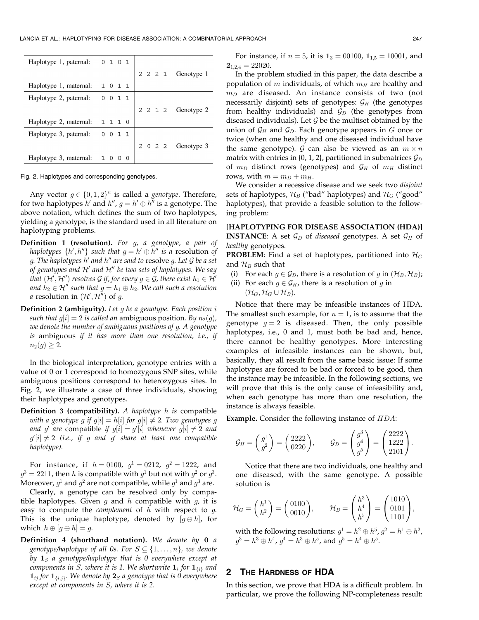| Haplotype 1, paternal: 0 1 0 1 |           |                    |
|--------------------------------|-----------|--------------------|
|                                |           | 2 2 2 1 Genotype 1 |
| Haplotype 1, maternal: 1 0 1 1 |           |                    |
| Haplotype 2, paternal: 0 0 1 1 |           |                    |
|                                |           | 2 2 1 2 Genotype 2 |
| Haplotype 2, maternal: 1 1 1 0 |           |                    |
| Haplotype 3, paternal: 0 0 1 1 |           |                    |
|                                |           | 2 0 2 2 Genotype 3 |
| Haplotype 3, maternal:         | $1\quad0$ |                    |

Fig. 2. Haplotypes and corresponding genotypes.

Any vector  $g \in \{0, 1, 2\}^n$  is called a *genotype*. Therefore, for two haplotypes h' and h'',  $q = h' \oplus h''$  is a genotype. The above notation, which defines the sum of two haplotypes, yielding a genotype, is the standard used in all literature on haplotyping problems.

- **Definition 1 (resolution).** For g, a genotype, a pair of haplotypes  $\{h', h''\}$  such that  $g = h' \oplus h''$  is a resolution of g. The haplotypes  $h'$  and  $h''$  are said to resolve g. Let  $\mathcal G$  be a set of genotypes and  $\mathcal{H}'$  and  $\mathcal{H}''$  be two sets of haplotypes. We say that  $(\mathcal{H}', \mathcal{H}'')$  resolves G if, for every  $g \in \mathcal{G}$ , there exist  $h_1 \in \mathcal{H}'$ and  $h_2 \in H''$  such that  $g = h_1 \oplus h_2$ . We call such a resolution *a* resolution in  $(\mathcal{H}', \mathcal{H}'')$  of *g*.
- **Definition 2 (ambiguity).** Let  $q$  be a genotype. Each position  $i$ such that  $g[i]=2$  is called an ambiguous position. By  $n_2(g)$ , we denote the number of ambiguous positions of g. A genotype is ambiguous if it has more than one resolution, i.e., if  $n_2(g)\geq 2.$

In the biological interpretation, genotype entries with a value of 0 or 1 correspond to homozygous SNP sites, while ambiguous positions correspond to heterozygous sites. In Fig. 2, we illustrate a case of three individuals, showing their haplotypes and genotypes.

**Definition 3 (compatibility).** A haplotype  $h$  is compatible with a genotype g if  $g[i] = h[i]$  for  $g[i] \neq 2$ . Two genotypes g and g are compatible if  $g[i] = g'[i]$  whenever  $g[i] \neq 2$  and  $g'[i] \neq 2$  (i.e., if g and g' share at least one compatible haplotype).

For instance, if  $h = 0100$ ,  $g^1 = 0212$ ,  $g^2 = 1222$ , and  $g^3 = 2211$ , then h is compatible with  $g^1$  but not with  $g^2$  or  $g^3$ . Moreover,  $q^1$  and  $q^2$  are not compatible, while  $q^1$  and  $q^3$  are.

Clearly, a genotype can be resolved only by compatible haplotypes. Given  $g$  and  $h$  compatible with  $g$ , it is easy to compute the *complement* of h with respect to q. This is the unique haplotype, denoted by  $[g \ominus h]$ , for which  $h \oplus [g \ominus h] = g$ .

Definition 4 (shorthand notation). We denote by 0 a genotype/haplotype of all 0s. For  $S \subseteq \{1, \ldots, n\}$ , we denote by  $\mathbf{1}_S$  a genotype/haplotype that is 0 everywhere except at components in S, where it is 1. We shortwrite  $\mathbf{1}_i$  for  $\mathbf{1}_{\{i\}}$  and  $\mathbf{1}_{ij}$  for  $\mathbf{1}_{\{i,j\}}$ . We denote by  $\mathbf{2}_S$  a genotype that is 0 everywhere except at components in S, where it is 2.

For instance, if  $n = 5$ , it is  $1_3 = 00100$ ,  $1_{1.5} = 10001$ , and  $2_{1,2,4} = 22020.$ 

In the problem studied in this paper, the data describe a population of m individuals, of which  $m_H$  are healthy and  $m_D$  are diseased. An instance consists of two (not necessarily disjoint) sets of genotypes:  $\mathcal{G}_H$  (the genotypes from healthy individuals) and  $G_D$  (the genotypes from diseased individuals). Let  $G$  be the multiset obtained by the union of  $\mathcal{G}_H$  and  $\mathcal{G}_D$ . Each genotype appears in G once or twice (when one healthy and one diseased individual have the same genotype). G can also be viewed as an  $m \times n$ matrix with entries in {0, 1, 2}, partitioned in submatrices  $\mathcal{G}_D$ of  $m_D$  distinct rows (genotypes) and  $\mathcal{G}_H$  of  $m_H$  distinct rows, with  $m = m_D + m_H$ .

We consider a recessive disease and we seek two disjoint sets of haplotypes,  $\mathcal{H}_B$  ("bad" haplotypes) and  $\mathcal{H}_G$  ("good" haplotypes), that provide a feasible solution to the following problem:

[HAPLOTYPING FOR DISEASE ASSOCIATION (HDA)] **INSTANCE:** A set  $\mathcal{G}_D$  of diseased genotypes. A set  $\mathcal{G}_H$  of healthy genotypes.

**PROBLEM:** Find a set of haplotypes, partitioned into  $\mathcal{H}_G$ and  $\mathcal{H}_B$  such that

- (i) For each  $g \in \mathcal{G}_D$ , there is a resolution of g in  $(\mathcal{H}_B, \mathcal{H}_B)$ ;
- (ii) For each  $g \in \mathcal{G}_H$ , there is a resolution of g in  $(\mathcal{H}_G, \mathcal{H}_G \cup \mathcal{H}_B).$

Notice that there may be infeasible instances of HDA. The smallest such example, for  $n = 1$ , is to assume that the genotype  $g = 2$  is diseased. Then, the only possible haplotypes, i.e., 0 and 1, must both be bad and, hence, there cannot be healthy genotypes. More interesting examples of infeasible instances can be shown, but, basically, they all result from the same basic issue: If some haplotypes are forced to be bad or forced to be good, then the instance may be infeasible. In the following sections, we will prove that this is the only cause of infeasibility and, when each genotype has more than one resolution, the instance is always feasible.

Example. Consider the following instance of HDA:

$$
\mathcal{G}_H = \begin{pmatrix} g^1 \\ g^2 \end{pmatrix} = \begin{pmatrix} 2222 \\ 0220 \end{pmatrix}, \qquad \mathcal{G}_D = \begin{pmatrix} g^3 \\ g^4 \\ g^5 \end{pmatrix} = \begin{pmatrix} 2222 \\ 1222 \\ 2101 \end{pmatrix}.
$$

Notice that there are two individuals, one healthy and one diseased, with the same genotype. A possible solution is

$$
\mathcal{H}_G = \begin{pmatrix} h^1 \\ h^2 \end{pmatrix} = \begin{pmatrix} 0100 \\ 0010 \end{pmatrix}, \qquad \mathcal{H}_B = \begin{pmatrix} h^3 \\ h^4 \\ h^5 \end{pmatrix} = \begin{pmatrix} 1010 \\ 0101 \\ 1101 \end{pmatrix},
$$

with the following resolutions:  $g^1 = h^2 \oplus h^5$ ,  $g^2 = h^1 \oplus h^2$ ,  $g^3 = h^3 \oplus h^4$ ,  $g^4 = h^3 \oplus h^5$ , and  $g^5 = h^4 \oplus h^5$ .

#### 2 THE HARDNESS OF HDA

In this section, we prove that HDA is a difficult problem. In particular, we prove the following NP-completeness result: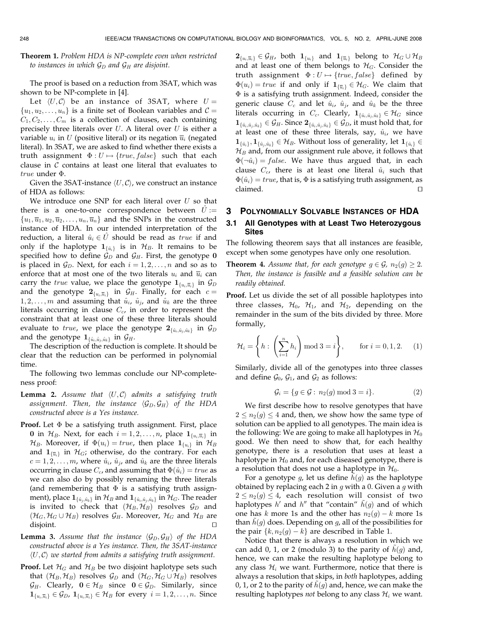Theorem 1. Problem HDA is NP-complete even when restricted to instances in which  $\mathcal{G}_D$  and  $\mathcal{G}_H$  are disjoint.

The proof is based on a reduction from 3SAT, which was shown to be NP-complete in [4].

Let  $\langle U, C \rangle$  be an instance of 3SAT, where  $U =$  $\{u_1, u_2, \ldots, u_n\}$  is a finite set of Boolean variables and  $\mathcal{C} =$  $C_1, C_2, \ldots, C_m$  is a collection of clauses, each containing precisely three literals over  $U$ . A literal over  $U$  is either a variable  $u_i$  in U (positive literal) or its negation  $\overline{u}_i$  (negated literal). In 3SAT, we are asked to find whether there exists a truth assignment  $\Phi: U \mapsto \{true, false\}$  such that each clause in  $\mathcal C$  contains at least one literal that evaluates to  $true$  under  $\Phi$ .

Given the 3SAT-instance  $\langle U, \mathcal{C} \rangle$ , we construct an instance of HDA as follows:

We introduce one SNP for each literal over  $U$  so that there is a one-to-one correspondence between  $U :=$  $\{u_1,\overline{u}_1,u_2,\overline{u}_2,\ldots,u_n,\overline{u}_n\}$  and the SNPs in the constructed instance of HDA. In our intended interpretation of the reduction, a literal  $\hat{u}_i \in U$  should be read as true if and only if the haplotype  $1_{\{\hat{u}_i\}}$  is in  $\mathcal{H}_B$ . It remains to be specified how to define  $G_D$  and  $G_H$ . First, the genotype 0 is placed in  $\mathcal{G}_D$ . Next, for each  $i = 1, 2, \ldots, n$  and so as to enforce that at most one of the two literals  $u_i$  and  $\overline{u}_i$  can carry the *true* value, we place the genotype  $1_{\{u_i, \overline{u}_i\}}$  in  $\mathcal{G}_D$ and the genotype  $2_{\{u_i, \overline{u}_i\}}$  in  $\mathcal{G}_H$ . Finally, for each  $c =$  $1, 2, \ldots, m$  and assuming that  $\hat{u}_i$ ,  $\hat{u}_j$ , and  $\hat{u}_k$  are the three literals occurring in clause  $C_c$ , in order to represent the constraint that at least one of these three literals should evaluate to *true*, we place the genotype  $2_{\{\hat{u}_i,\hat{u}_j,\hat{u}_k\}}$  in  $\mathcal{G}_D$ and the genotype  $\mathbf{1}_{\{\hat{u}_i,\hat{u}_i,\hat{u}_k\}}$  in  $\mathcal{G}_H$ .

The description of the reduction is complete. It should be clear that the reduction can be performed in polynomial time.

The following two lemmas conclude our NP-completeness proof:

- **Lemma 2.** Assume that  $\langle U, C \rangle$  admits a satisfying truth assignment. Then, the instance  $\langle \mathcal{G}_D, \mathcal{G}_H \rangle$  of the HDA constructed above is a Yes instance.
- **Proof.** Let  $\Phi$  be a satisfying truth assignment. First, place 0 in  $\mathcal{H}_B$ . Next, for each  $i = 1, 2, \ldots, n$ , place  $\mathbf{1}_{\{u_i, \overline{u}_i\}}$  in  $\mathcal{H}_B$ . Moreover, if  $\Phi(u_i) = true$ , then place  $\mathbf{1}_{\{u_i\}}$  in  $\mathcal{H}_B$ and  $\mathbf{1}_{\{\overline{u}_i\}}$  in  $\mathcal{H}_G$ ; otherwise, do the contrary. For each  $c = 1, 2, \ldots, m$ , where  $\hat{u}_i$ ,  $\hat{u}_j$ , and  $\hat{u}_k$  are the three literals occurring in clause  $C_c$ , and assuming that  $\Phi(\hat{u}_i) = true$  as we can also do by possibly renaming the three literals (and remembering that  $\Phi$  is a satisfying truth assignment), place  $1_{\{\hat{u}_j,\hat{u}_k\}}$  in  $\mathcal{H}_B$  and  $1_{\{\hat{u}_i,\hat{u}_j,\hat{u}_k\}}$  in  $\mathcal{H}_G$ . The reader is invited to check that  $(\mathcal{H}_B, \mathcal{H}_B)$  resolves  $\mathcal{G}_D$  and  $(\mathcal{H}_G, \mathcal{H}_G \cup \mathcal{H}_B)$  resolves  $\mathcal{G}_H$ . Moreover,  $\mathcal{H}_G$  and  $\mathcal{H}_B$  are disjoint.
- **Lemma 3.** Assume that the instance  $\langle \mathcal{G}_D, \mathcal{G}_H \rangle$  of the HDA constructed above is a Yes instance. Then, the 3SAT-instance  $\langle U, C \rangle$  we started from admits a satisfying truth assignment.
- **Proof.** Let  $\mathcal{H}_G$  and  $\mathcal{H}_B$  be two disjoint haplotype sets such that  $(\mathcal{H}_B, \mathcal{H}_B)$  resolves  $\mathcal{G}_D$  and  $(\mathcal{H}_G, \mathcal{H}_G \cup \mathcal{H}_B)$  resolves  $G_H$ . Clearly,  $0 \in \mathcal{H}_B$  since  $0 \in \mathcal{G}_D$ . Similarly, since  $\mathbf{1}_{\{u_i,\overline{u}_i\}} \in \mathcal{G}_D$ ,  $\mathbf{1}_{\{u_i,\overline{u}_i\}} \in \mathcal{H}_B$  for every  $i = 1, 2, \ldots, n$ . Since

 $2_{\{u_i,\overline{u_i}\}} \in \mathcal{G}_H$ , both  $1_{\{u_i\}}$  and  $1_{\{\overline{u_i}\}}$  belong to  $\mathcal{H}_G \cup \mathcal{H}_B$ and at least one of them belongs to  $\mathcal{H}_G$ . Consider the truth assignment  $\Phi: U \mapsto \{true, false\}$  defined by  $\Phi(u_i) = true$  if and only if  $\mathbf{1}_{\{\overline{u}_i\}} \in \mathcal{H}_G$ . We claim that  $\Phi$  is a satisfying truth assignment. Indeed, consider the generic clause  $C_c$  and let  $\hat{u}_i$ ,  $\hat{u}_j$ , and  $\hat{u}_k$  be the three literals occurring in  $C_c$ . Clearly,  $\mathbf{1}_{\{\hat{u}_i,\hat{u}_i,\hat{u}_k\}} \in \mathcal{H}_G$  since  $\mathbf{1}_{\{\hat{u}_i,\hat{u}_j,\hat{u}_k\}} \in \mathcal{G}_H$ . Since  $\mathbf{2}_{\{\hat{u}_i,\hat{u}_j,\hat{u}_k\}} \in \mathcal{G}_D$ , it must hold that, for at least one of these three literals, say,  $\hat{u}_i$ , we have  $\mathbf{1}_{\{\hat{u}_i\}}$ ,  $\mathbf{1}_{\{\hat{u}_i,\hat{u}_k\}} \in \mathcal{H}_B$ . Without loss of generality, let  $\mathbf{1}_{\{\hat{u}_i\}} \in$  $\mathcal{H}_B$  and, from our assignment rule above, it follows that  $\Phi(\neg \hat{u}_i) = false$ . We have thus argued that, in each clause  $C_c$ , there is at least one literal  $\hat{u}_i$  such that  $\Phi(\hat{u}_i) = \textit{true}$ , that is,  $\Phi$  is a satisfying truth assignment, as claimed.  $\Box$ 

## 3 POLYNOMIALLY SOLVABLE INSTANCES OF HDA 3.1 All Genotypes with at Least Two Heterozygous Sites

The following theorem says that all instances are feasible, except when some genotypes have only one resolution.

- **Theorem 4.** Assume that, for each genotype  $g \in \mathcal{G}$ ,  $n_2(g) \geq 2$ . Then, the instance is feasible and a feasible solution can be readily obtained.
- Proof. Let us divide the set of all possible haplotypes into three classes,  $\mathcal{H}_0$ ,  $\mathcal{H}_1$ , and  $\mathcal{H}_2$ , depending on the remainder in the sum of the bits divided by three. More formally,

$$
\mathcal{H}_i = \left\{ h : \left( \sum_{i=1}^n h_i \right) \mod 3 = i \right\}, \quad \text{for } i = 0, 1, 2. \quad (1)
$$

Similarly, divide all of the genotypes into three classes and define  $\mathcal{G}_0$ ,  $\mathcal{G}_1$ , and  $\mathcal{G}_2$  as follows:

$$
\mathcal{G}_i = \{ g \in \mathcal{G} : n_2(g) \bmod 3 = i \}. \tag{2}
$$

We first describe how to resolve genotypes that have  $2 \leq n_2(q) \leq 4$  and, then, we show how the same type of solution can be applied to all genotypes. The main idea is the following: We are going to make all haplotypes in  $\mathcal{H}_0$ good. We then need to show that, for each healthy genotype, there is a resolution that uses at least a haplotype in  $\mathcal{H}_0$  and, for each diseased genotype, there is a resolution that does not use a haplotype in  $\mathcal{H}_0$ .

For a genotype g, let us define  $h(g)$  as the haplotype obtained by replacing each 2 in  $g$  with a 0. Given a  $g$  with  $2 \le n_2(g) \le 4$ , each resolution will consist of two haplotypes h' and h'' that "contain"  $\tilde{h}(g)$  and of which one has  $k$  more 1s and the other has  $n_2(g)-k$  more 1s than  $h(g)$  does. Depending on g, all of the possibilities for the pair  $\{k, n_2(g) - k\}$  are described in Table 1.

Notice that there is always a resolution in which we can add 0, 1, or 2 (modulo 3) to the parity of  $h(g)$  and, hence, we can make the resulting haplotype belong to any class  $\mathcal{H}_i$  we want. Furthermore, notice that there is always a resolution that skips, in both haplotypes, adding 0, 1, or 2 to the parity of  $h(g)$  and, hence, we can make the resulting haplotypes *not* belong to any class  $\mathcal{H}_i$  we want.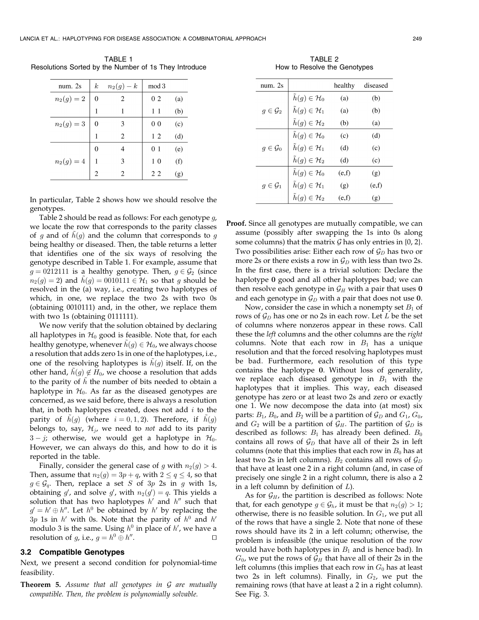TABLE 1 Resolutions Sorted by the Number of 1s They Introduce

| num. 2s      | $\boldsymbol{k}$ | $n_2(g)-k$ | mod 3          |     |
|--------------|------------------|------------|----------------|-----|
| $n_2(g) = 2$ | 0                | 2          | 0 <sub>2</sub> | (a) |
|              | 1                |            | 11             | (b) |
| $n_2(g) = 3$ | 0                | 3          | 0 <sub>0</sub> | (c) |
|              | 1                | 2          | 12             | (d) |
|              | 0                |            | 0 <sub>1</sub> | (e) |
| $n_2(g) = 4$ | 1                | 3          | 10             | (f) |
|              | $\overline{2}$   | 2          | 22             | (g) |

In particular, Table 2 shows how we should resolve the genotypes.

Table 2 should be read as follows: For each genotype g, we locate the row that corresponds to the parity classes of g and of  $h(g)$  and the column that corresponds to g being healthy or diseased. Then, the table returns a letter that identifies one of the six ways of resolving the genotype described in Table 1. For example, assume that  $g = 0212111$  is a healthy genotype. Then,  $g \in \mathcal{G}_2$  (since  $n_2(q) = 2$ ) and  $h(q) = 0010111 \in \mathcal{H}_1$  so that g should be resolved in the (a) way, i.e., creating two haplotypes of which, in one, we replace the two 2s with two 0s (obtaining 0010111) and, in the other, we replace them with two 1s (obtaining 0111111).

We now verify that the solution obtained by declaring all haplotypes in  $\mathcal{H}_0$  good is feasible. Note that, for each healthy genotype, whenever  $h(g) \in \mathcal{H}_0$ , we always choose a resolution that adds zero 1s in one of the haplotypes, i.e., one of the resolving haplotypes is  $h(g)$  itself. If, on the other hand,  $h(g) \notin H_0$ , we choose a resolution that adds to the parity of  $h$  the number of bits needed to obtain a haplotype in  $H_0$ . As far as the diseased genotypes are concerned, as we said before, there is always a resolution that, in both haplotypes created, does not add  $i$  to the parity of  $\tilde{h}(g)$  (where  $i = 0, 1, 2$ ). Therefore, if  $\tilde{h}(g)$ belongs to, say,  $\mathcal{H}_{i}$ , we need to *not* add to its parity  $3 - j$ ; otherwise, we would get a haplotype in  $\mathcal{H}_0$ . However, we can always do this, and how to do it is reported in the table.

Finally, consider the general case of g with  $n_2(q) > 4$ . Then, assume that  $n_2(g) = 3p + q$ , with  $2 \le q \le 4$ , so that  $g \in \mathcal{G}_q$ . Then, replace a set S of 3p 2s in g with 1s, obtaining  $g'$ , and solve  $g'$ , with  $n_2(g') = q$ . This yields a solution that has two haplotypes  $h'$  and  $h''$  such that  $g' = h' \oplus h''$ . Let  $h^0$  be obtained by h' by replacing the  $3p$  1s in h' with 0s. Note that the parity of  $h^0$  and h' modulo 3 is the same. Using  $h^0$  in place of  $h'$ , we have a resolution of g, i.e.,  $g = h^0 \oplus h''$ .

#### 3.2 Compatible Genotypes

Next, we present a second condition for polynomial-time feasibility.

**Theorem 5.** Assume that all genotypes in  $G$  are mutually compatible. Then, the problem is polynomially solvable.

TARIF<sub>2</sub> How to Resolve the Genotypes

| num. $2s$             |                                  | healthy | diseased |
|-----------------------|----------------------------------|---------|----------|
| $g \in \mathcal{G}_2$ | $\tilde{h}(g) \in \mathcal{H}_0$ | (a)     | (b)      |
|                       | $\tilde{h}(q) \in \mathcal{H}_1$ | (a)     | (b)      |
|                       | $\tilde{h}(g)\in\mathcal{H}_2$   | (b)     | (a)      |
| $g \in \mathcal{G}_0$ | $\tilde{h}(g) \in \mathcal{H}_0$ | (c)     | (d)      |
|                       | $\tilde{h}(g) \in \mathcal{H}_1$ | (d)     | (c)      |
|                       | $\tilde{h}(g) \in \mathcal{H}_2$ | (d)     | (c)      |
| $q \in \mathcal{G}_1$ | $\tilde{h}(g) \in \mathcal{H}_0$ | (e,f)   | (g)      |
|                       | $\tilde{h}(g) \in \mathcal{H}_1$ | (g)     | (e,f)    |
|                       | $h(q) \in \mathcal{H}_2$         | (e,f)   | (g)      |

Proof. Since all genotypes are mutually compatible, we can assume (possibly after swapping the 1s into 0s along some columns) that the matrix  $G$  has only entries in  $\{0, 2\}$ . Two possibilities arise: Either each row of  $\mathcal{G}_D$  has two or more 2s or there exists a row in  $\mathcal{G}_D$  with less than two 2s. In the first case, there is a trivial solution: Declare the haplotype 0 good and all other haplotypes bad; we can then resolve each genotype in  $G_H$  with a pair that uses 0 and each genotype in  $\mathcal{G}_D$  with a pair that does not use 0.

Now, consider the case in which a nonempty set  $B_1$  of rows of  $\mathcal{G}_D$  has one or no 2s in each row. Let L be the set of columns where nonzeros appear in these rows. Call these the *left* columns and the other columns are the *right* columns. Note that each row in  $B_1$  has a unique resolution and that the forced resolving haplotypes must be bad. Furthermore, each resolution of this type contains the haplotype 0. Without loss of generality, we replace each diseased genotype in  $B_1$  with the haplotypes that it implies. This way, each diseased genotype has zero or at least two 2s and zero or exactly one 1. We now decompose the data into (at most) six parts:  $B_1$ ,  $B_0$ , and  $B_2$  will be a partition of  $\mathcal{G}_D$  and  $G_1$ ,  $G_0$ , and  $G_2$  will be a partition of  $\mathcal{G}_H$ . The partition of  $\mathcal{G}_D$  is described as follows:  $B_1$  has already been defined.  $B_0$ contains all rows of  $\mathcal{G}_D$  that have all of their 2s in left columns (note that this implies that each row in  $B_0$  has at least two 2s in left columns).  $B_2$  contains all rows of  $\mathcal{G}_D$ that have at least one 2 in a right column (and, in case of precisely one single 2 in a right column, there is also a 2 in a left column by definition of  $L$ ).

As for  $\mathcal{G}_H$ , the partition is described as follows: Note that, for each genotype  $g \in \mathcal{G}_h$ , it must be that  $n_2(g) > 1$ ; otherwise, there is no feasible solution. In  $G_1$ , we put all of the rows that have a single 2. Note that none of these rows should have its 2 in a left column; otherwise, the problem is infeasible (the unique resolution of the row would have both haplotypes in  $B_1$  and is hence bad). In  $G_0$ , we put the rows of  $\mathcal{G}_H$  that have all of their 2s in the left columns (this implies that each row in  $G_0$  has at least two 2s in left columns). Finally, in  $G_2$ , we put the remaining rows (that have at least a 2 in a right column). See Fig. 3.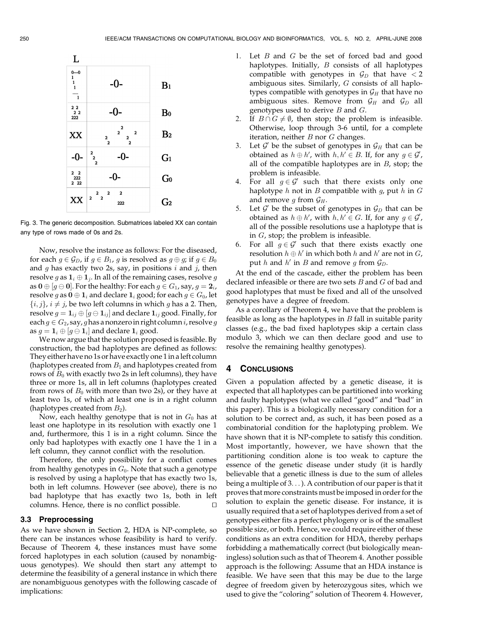

Fig. 3. The generic decomposition. Submatrices labeled XX can contain any type of rows made of 0s and 2s.

Now, resolve the instance as follows: For the diseased, for each  $g \in \mathcal{G}_D$ , if  $g \in B_1$ , g is resolved as  $g \oplus g$ ; if  $g \in B_0$ and g has exactly two 2s, say, in positions  $i$  and  $j$ , then resolve  $g$  as  $\mathbf{1}_i \oplus \mathbf{1}_j.$  In all of the remaining cases, resolve  $g$ as  $\mathbf{0} \oplus [g\ominus \mathbf{0}].$  For the healthy: For each  $g\in G_1$ , say,  $g=\mathbf{2}_i$ , resolve g as  $0 \oplus 1_i$  and declare  $1_i$  good; for each  $g \in G_0$ , let  ${i, j}$ ,  $i \neq j$ , be two left columns in which g has a 2. Then, resolve  $g = \mathbf{1}_{ij} \oplus [g \ominus \mathbf{1}_{ij}]$  and declare  $\mathbf{1}_{ij}$  good. Finally, for each  $g \in G_2$ , say, ghas a nonzero in right column i, resolve g as  $g = \mathbf{1}_i \oplus [g\ominus \mathbf{1}_i]$  and declare  $\mathbf{1}_i$  good.

We now argue that the solution proposed is feasible. By construction, the bad haplotypes are defined as follows: They either have no 1s or have exactly one 1in a left column (haplotypes created from  $B_1$  and haplotypes created from rows of  $B_0$  with exactly two 2s in left columns), they have three or more 1s, all in left columns (haplotypes created from rows of  $B_0$  with more than two 2s), or they have at least two 1s, of which at least one is in a right column (haplotypes created from  $B_2$ ).

Now, each healthy genotype that is not in  $G_0$  has at least one haplotype in its resolution with exactly one 1 and, furthermore, this 1 is in a right column. Since the only bad haplotypes with exactly one 1 have the 1 in a left column, they cannot conflict with the resolution.

Therefore, the only possibility for a conflict comes from healthy genotypes in  $G_0$ . Note that such a genotype is resolved by using a haplotype that has exactly two 1s, both in left columns. However (see above), there is no bad haplotype that has exactly two 1s, both in left columns. Hence, there is no conflict possible.  $\Box$ 

#### 3.3 Preprocessing

As we have shown in Section 2, HDA is NP-complete, so there can be instances whose feasibility is hard to verify. Because of Theorem 4, these instances must have some forced haplotypes in each solution (caused by nonambiguous genotypes). We should then start any attempt to determine the feasibility of a general instance in which there are nonambiguous genotypes with the following cascade of implications:

- 1. Let  $B$  and  $G$  be the set of forced bad and good haplotypes. Initially,  $B$  consists of all haplotypes compatible with genotypes in  $\mathcal{G}_D$  that have  $\langle 2 \rangle$ ambiguous sites. Similarly, G consists of all haplotypes compatible with genotypes in  $\mathcal{G}_H$  that have no ambiguous sites. Remove from  $\mathcal{G}_H$  and  $\mathcal{G}_D$  all genotypes used to derive  $B$  and  $G$ .
- 2. If  $B \cap G \neq \emptyset$ , then stop; the problem is infeasible. Otherwise, loop through 3-6 until, for a complete iteration, neither  $B$  nor  $G$  changes.
- 3. Let  $\mathcal{G}'$  be the subset of genotypes in  $\mathcal{G}_H$  that can be obtained as  $h \oplus h'$ , with  $h, h' \in B$ . If, for any  $g \in \mathcal{G}'$ , all of the compatible haplotypes are in  $B$ , stop; the problem is infeasible.
- 4. For all  $g \in \mathcal{G}'$  such that there exists only one haplotype  $h$  not in  $B$  compatible with  $g$ , put  $h$  in  $G$ and remove g from  $\mathcal{G}_H$ .
- 5. Let  $\mathcal{G}'$  be the subset of genotypes in  $\mathcal{G}_D$  that can be obtained as  $h \oplus h'$ , with  $h, h' \in G$ . If, for any  $g \in \mathcal{G}'$ , all of the possible resolutions use a haplotype that is in  $G$ , stop; the problem is infeasible.
- 6. For all  $g \in \mathcal{G}'$  such that there exists exactly one resolution  $h \oplus h'$  in which both h and h' are not in  $G$ , put h and h' in B and remove g from  $\mathcal{G}_D$ .

At the end of the cascade, either the problem has been declared infeasible or there are two sets  $B$  and  $G$  of bad and good haplotypes that must be fixed and all of the unsolved genotypes have a degree of freedom.

As a corollary of Theorem 4, we have that the problem is feasible as long as the haplotypes in  $B$  fall in suitable parity classes (e.g., the bad fixed haplotypes skip a certain class modulo 3, which we can then declare good and use to resolve the remaining healthy genotypes).

#### 4 CONCLUSIONS

Given a population affected by a genetic disease, it is expected that all haplotypes can be partitioned into working and faulty haplotypes (what we called "good" and "bad" in this paper). This is a biologically necessary condition for a solution to be correct and, as such, it has been posed as a combinatorial condition for the haplotyping problem. We have shown that it is NP-complete to satisfy this condition. Most importantly, however, we have shown that the partitioning condition alone is too weak to capture the essence of the genetic disease under study (it is hardly believable that a genetic illness is due to the sum of alleles being a multiple of 3... ). A contribution of our paper is that it proves that more constraints must be imposed in order for the solution to explain the genetic disease. For instance, it is usually required that a set of haplotypes derived from a set of genotypes either fits a perfect phylogeny or is of the smallest possible size, or both. Hence, we could require either of these conditions as an extra condition for HDA, thereby perhaps forbidding a mathematically correct (but biologically meaningless) solution such as that of Theorem 4. Another possible approach is the following: Assume that an HDA instance is feasible. We have seen that this may be due to the large degree of freedom given by heterozygous sites, which we used to give the "coloring" solution of Theorem 4. However,